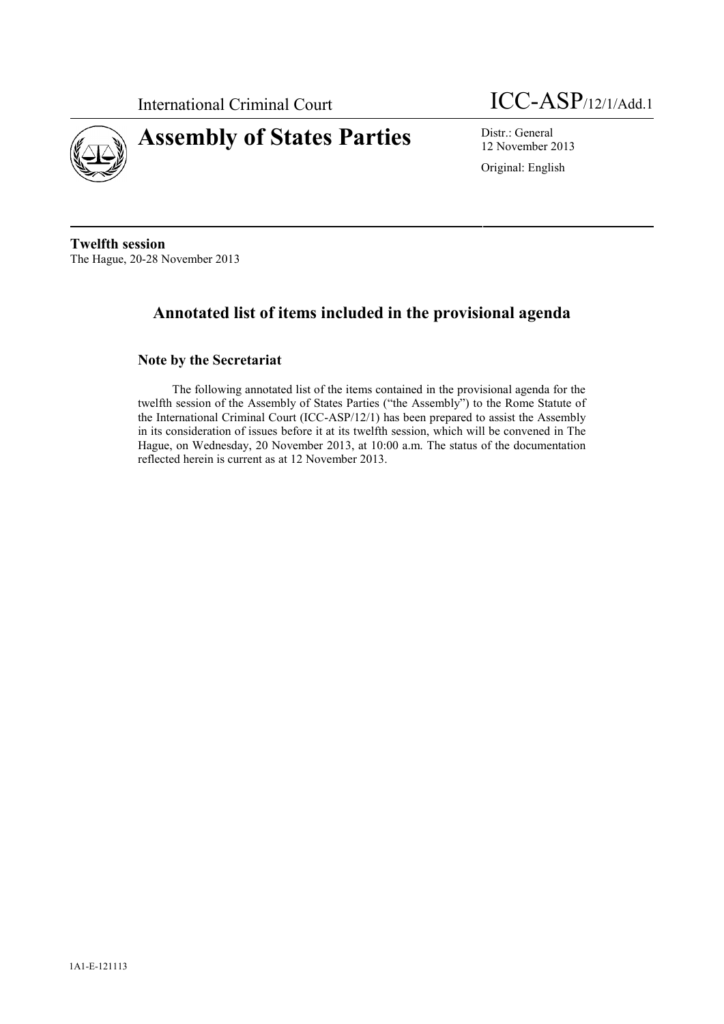

International Criminal Court ICC-ASP/12/1/Add.1

12 November 2013

Original: English

**Twelfth session** The Hague, 20-28 November 2013

# **Annotated list of items included in the provisional agenda**

# **Note by the Secretariat**

The following annotated list of the items contained in the provisional agenda for the twelfth session of the Assembly of States Parties ("the Assembly") to the Rome Statute of the International Criminal Court (ICC-ASP/12/1) has been prepared to assist the Assembly in its consideration of issues before it at its twelfth session, which will be convened in The Hague, on Wednesday, 20 November 2013, at 10:00 a.m. The status of the documentation reflected herein is current as at 12 November 2013.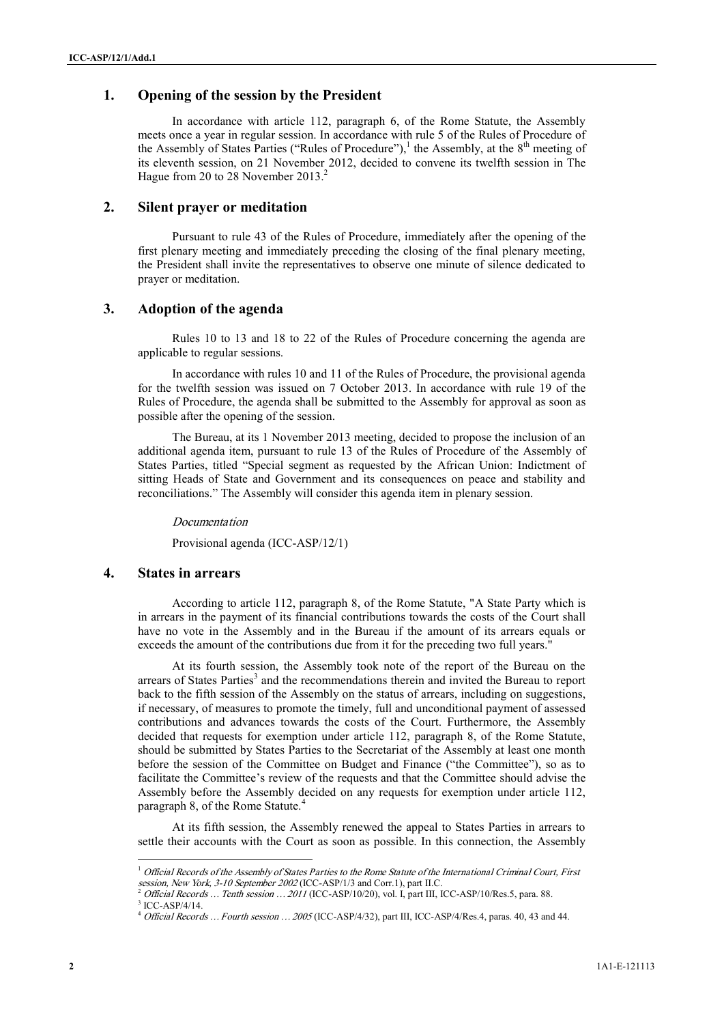## **1. Opening of the session by the President**

In accordance with article 112, paragraph 6, of the Rome Statute, the Assembly meets once a year in regular session. In accordance with rule 5 of the Rules of Procedure of the Assembly of States Parties ("Rules of Procedure"),<sup>1</sup> the Assembly, at the  $8<sup>th</sup>$  meeting of its eleventh session, on 21 November 2012, decided to convene its twelfth session in The Hague from 20 to 28 November 2013.<sup>2</sup>

# **2. Silent prayer or meditation**

Pursuant to rule 43 of the Rules of Procedure, immediately after the opening of the first plenary meeting and immediately preceding the closing of the final plenary meeting, the President shall invite the representatives to observe one minute of silence dedicated to prayer or meditation.

### **3. Adoption of the agenda**

Rules 10 to 13 and 18 to 22 of the Rules of Procedure concerning the agenda are applicable to regular sessions.

In accordance with rules 10 and 11 of the Rules of Procedure, the provisional agenda for the twelfth session was issued on 7 October 2013. In accordance with rule 19 of the Rules of Procedure, the agenda shall be submitted to the Assembly for approval as soon as possible after the opening of the session.

The Bureau, at its 1 November 2013 meeting, decided to propose the inclusion of an additional agenda item, pursuant to rule 13 of the Rules of Procedure of the Assembly of States Parties, titled "Special segment as requested by the African Union: Indictment of sitting Heads of State and Government and its consequences on peace and stability and reconciliations." The Assembly will consider this agenda item in plenary session.

*Documentation*

Provisional agenda (ICC-ASP/12/1)

#### **4. States in arrears**

According to article 112, paragraph 8, of the Rome Statute, "A State Party which is in arrears in the payment of its financial contributions towards the costs of the Court shall have no vote in the Assembly and in the Bureau if the amount of its arrears equals or exceeds the amount of the contributions due from it for the preceding two full years."

**<sup>2</sup>** 1A1-E-121113 ICC-ASP/9/[…] Page <sup>2</sup> At its fourth session, the Assembly took note of the report of the Bureau on the arrears of States Parties<sup>3</sup> and the recommendations therein and invited the Bureau to report back to the fifth session of the Assembly on the status of arrears, including on suggestions, if necessary, of measures to promote the timely, full and unconditional payment of assessed contributions and advances towards the costs of the Court. Furthermore, the Assembly decided that requests for exemption under article 112, paragraph 8, of the Rome Statute, should be submitted by States Parties to the Secretariat of the Assembly at least one month before the session of the Committee on Budget and Finance ("the Committee"), so as to facilitate the Committee's review of the requests and that the Committee should advise the Assembly before the Assembly decided on any requests for exemption under article 112, paragraph 8, of the Rome Statute.<sup>4</sup>

At its fifth session, the Assembly renewed the appeal to States Parties in arrears to settle their accounts with the Court as soon as possible. In this connection, the Assembly

<sup>1</sup> *Official Records of the Assembly of States Parties to the Rome Statute of the International Criminal Court, First*

*session, New York, 3-10 September 2002* (ICC-ASP/1/3 and Corr.1), part II.C. <sup>2</sup> *Official Records … Tenth session … 2011* (ICC-ASP/10/20), vol. I, part III, ICC-ASP/10/Res.5, para. 88. <sup>3</sup> ICC-ASP/4/14.

<sup>4</sup> *Official Records … Fourth session … 2005* (ICC-ASP/4/32), part III, ICC-ASP/4/Res.4, paras. 40, 43 and 44.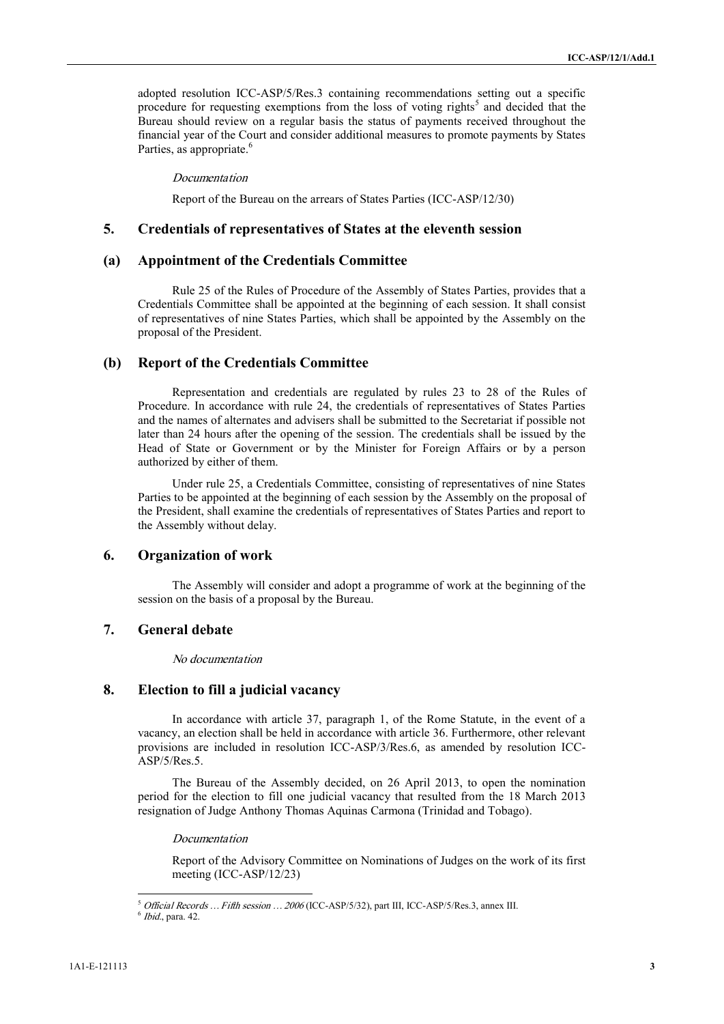adopted resolution ICC-ASP/5/Res.3 containing recommendations setting out a specific procedure for requesting exemptions from the loss of voting rights<sup>5</sup> and decided that the Bureau should review on a regular basis the status of payments received throughout the financial year of the Court and consider additional measures to promote payments by States Parties, as appropriate.<sup>6</sup>

#### *Documentation*

Report of the Bureau on the arrears of States Parties (ICC-ASP/12/30)

## **5. Credentials of representatives of States at the eleventh session**

### **(a) Appointment of the Credentials Committee**

Rule 25 of the Rules of Procedure of the Assembly of States Parties, provides that a Credentials Committee shall be appointed at the beginning of each session. It shall consist of representatives of nine States Parties, which shall be appointed by the Assembly on the proposal of the President.

## **(b) Report of the Credentials Committee**

**Strainer of the Countries and Appendix Theorem and Appendix Countries and Appendix Countries and Appendix Countries and Appendix Countries and Appendix Countries and Appendix Report of the Countries and States at Parts** Representation and credentials are regulated by rules 23 to 28 of the Rules of Procedure. In accordance with rule 24, the credentials of representatives of States Parties and the names of alternates and advisers shall be submitted to the Secretariat if possible not later than 24 hours after the opening of the session. The credentials shall be issued by the Head of State or Government or by the Minister for Foreign Affairs or by a person authorized by either of them.

Under rule 25, a Credentials Committee, consisting of representatives of nine States Parties to be appointed at the beginning of each session by the Assembly on the proposal of the President, shall examine the credentials of representatives of States Parties and report to the Assembly without delay.

### **6. Organization of work**

The Assembly will consider and adopt a programme of work at the beginning of the session on the basis of a proposal by the Bureau.

### **7. General debate**

#### *No documentation*

### **8. Election to fill a judicial vacancy**

In accordance with article 37, paragraph 1, of the Rome Statute, in the event of a vacancy, an election shall be held in accordance with article 36. Furthermore, other relevant provisions are included in resolution ICC-ASP/3/Res.6, as amended by resolution ICC- ASP/5/Res.5.

The Bureau of the Assembly decided, on 26 April 2013, to open the nomination period for the election to fill one judicial vacancy that resulted from the 18 March 2013 resignation of Judge Anthony Thomas Aquinas Carmona (Trinidad and Tobago).

*Documentation*

Report of the Advisory Committee on Nominations of Judges on the work of its first meeting (ICC-ASP/12/23)

<sup>5</sup> *Official Records … Fifth session …2006* (ICC-ASP/5/32), part III, ICC-ASP/5/Res.3, annex III.

<sup>6</sup> *Ibid*., para. 42.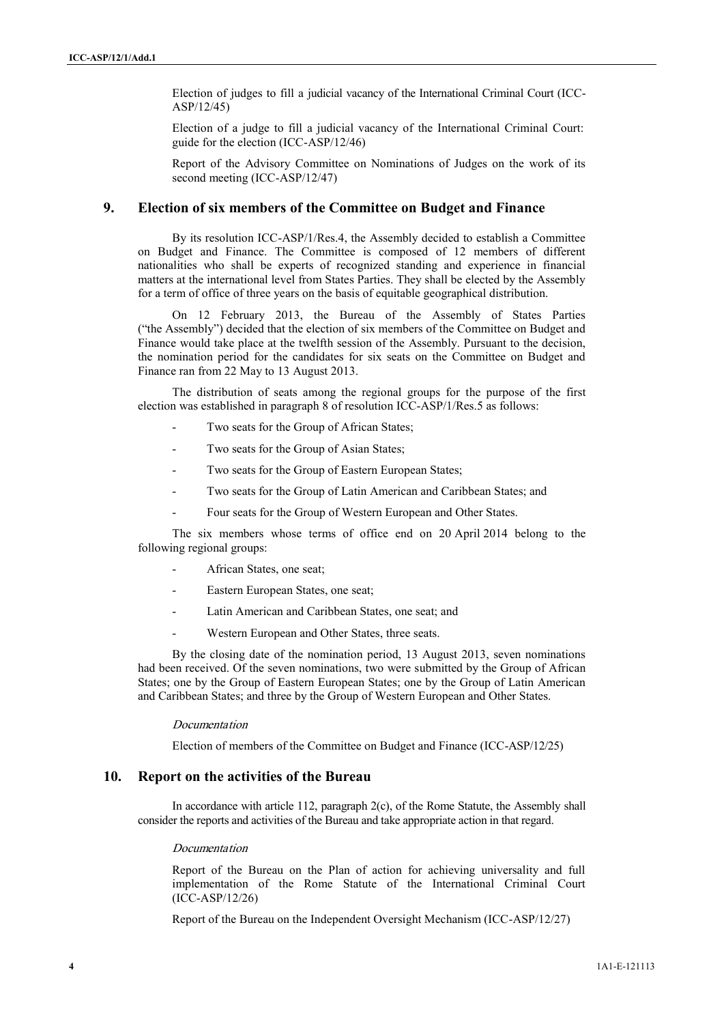Election of judges to fill a judicial vacancy of the International Criminal Court (ICC- ASP/12/45)

Election of a judge to fill a judicial vacancy of the International Criminal Court: guide for the election (ICC-ASP/12/46)

Report of the Advisory Committee on Nominations of Judges on the work of its second meeting (ICC-ASP/12/47)

# **9. Election of six members of the Committee on Budget and Finance**

**1** 141-12 of the change in Filippedia wave of the thermational Court<br> **Example 5** 142-12 of the Action Court (CC-ASP)<sup>22</sup> estimation at *A* 142-12 of the series of the series of the series of the series of the series of By its resolution ICC-ASP/1/Res.4, the Assembly decided to establish a Committee on Budget and Finance. The Committee is composed of 12 members of different nationalities who shall be experts of recognized standing and experience in financial matters at the international level from States Parties. They shall be elected by the Assembly for a term of office of three years on the basis of equitable geographical distribution.

On 12 February 2013, the Bureau of the Assembly of States Parties ("the Assembly") decided that the election of six members of the Committee on Budget and Finance would take place at the twelfth session of the Assembly. Pursuant to the decision, the nomination period for the candidates for six seats on the Committee on Budget and Finance ran from 22 May to 13 August 2013.

The distribution of seats among the regional groups for the purpose of the first election was established in paragraph 8 of resolution ICC-ASP/1/Res.5 as follows:

- Two seats for the Group of African States;
- Two seats for the Group of Asian States;
- Two seats for the Group of Eastern European States;
- Two seats for the Group of Latin American and Caribbean States; and
- Four seats for the Group of Western European and Other States.

The six members whose terms of office end on 20 April 2014 belong to the following regional groups:

- African States, one seat;
- Eastern European States, one seat;
- Latin American and Caribbean States, one seat; and
- Western European and Other States, three seats.

By the closing date of the nomination period, 13 August 2013, seven nominations had been received. Of the seven nominations, two were submitted by the Group of African States; one by the Group of Eastern European States; one by the Group of Latin American and Caribbean States; and three by the Group of Western European and Other States.

#### *Documentation*

Election of members of the Committee on Budget and Finance (ICC-ASP/12/25)

### **10. Report on the activities of the Bureau**

In accordance with article 112, paragraph 2(c), of the Rome Statute, the Assembly shall consider the reports and activities of the Bureau and take appropriate action in that regard.

#### *Documentation*

Report of the Bureau on the Plan of action for achieving universality and full implementation of the Rome Statute of the International Criminal Court (ICC-ASP/12/26)

Report of the Bureau on the Independent Oversight Mechanism (ICC-ASP/12/27)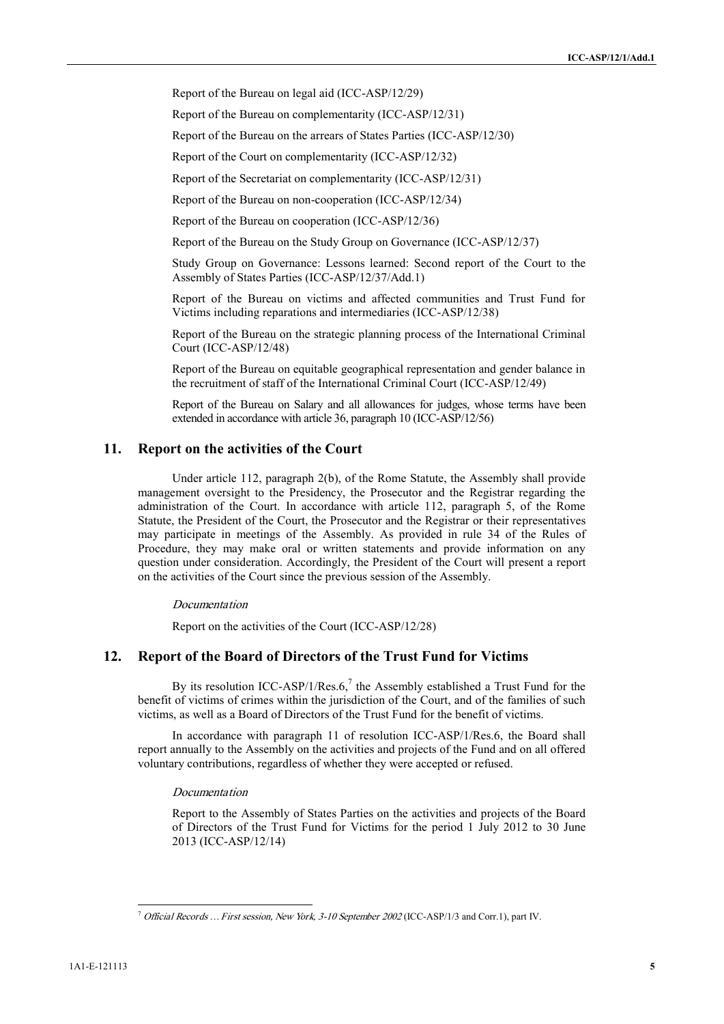Report of the Bureau on legal aid (ICC-ASP/12/29)

Report of the Bureau on complementarity (ICC-ASP/12/31)

Report of the Bureau on the arrears of States Parties (ICC-ASP/12/30)

Report of the Court on complementarity (ICC-ASP/12/32)

Report of the Secretariat on complementarity (ICC-ASP/12/31)

Report of the Bureau on non-cooperation (ICC-ASP/12/34)

Report of the Bureau on cooperation (ICC-ASP/12/36)

Report of the Bureau on the Study Group on Governance (ICC-ASP/12/37)

Study Group on Governance: Lessons learned: Second report of the Court to the Assembly of States Parties (ICC-ASP/12/37/Add.1)

Report of the Bureau on victims and affected communities and Trust Fund for Victims including reparations and intermediaries (ICC-ASP/12/38)

Report of the Bureau on the strategic planning process of the International Criminal Court (ICC-ASP/12/48)

Report of the Bureau on equitable geographical representation and gender balance in the recruitment of staff of the International Criminal Court (ICC-ASP/12/49)

Report of the Bureau on Salary and all allowances for judges, whose terms have been extended in accordance with article 36, paragraph 10 (ICC-ASP/12/56)

# **11. Report on the activities of the Court**

Report of the Diamenton complementation (OC ASP/1201)<br>
Report of the Diamenton complementation (OCC-ASP/1201)<br>
Report of the Secondary and the Diamenton (OCC-ASP/1201)<br>
Report of the Secondary and complementation (OCC-ASP Under article 112, paragraph 2(b), of the Rome Statute, the Assembly shall provide management oversight to the Presidency, the Prosecutor and the Registrar regarding the administration of the Court. In accordance with article 112, paragraph 5, of the Rome Statute, the President of the Court, the Prosecutor and the Registrar or their representatives may participate in meetings of the Assembly. As provided in rule 34 of the Rules of Procedure, they may make oral or written statements and provide information on any question under consideration. Accordingly, the President of the Court will present a report on the activities of the Court since the previous session of the Assembly.

#### *Documentation*

Report on the activities of the Court (ICC-ASP/12/28)

#### **12. Report of the Board of Directors of the Trust Fund for Victims**

By its resolution ICC-ASP/1/Res.6,<sup>7</sup> the Assembly established a Trust Fund for the benefit of victims of crimes within the jurisdiction of the Court, and of the families of such victims, as well as a Board of Directors of the Trust Fund for the benefit of victims.

In accordance with paragraph 11 of resolution ICC-ASP/1/Res.6, the Board shall report annually to the Assembly on the activities and projects of the Fund and on all offered voluntary contributions, regardless of whether they were accepted or refused.

#### *Documentation*

Report to the Assembly of States Parties on the activities and projects of the Board of Directors of the Trust Fund for Victims for the period 1 July 2012 to 30 June 2013 (ICC-ASP/12/14)

<sup>7</sup> *Official Records … First session, New York, 3-10 September 2002* (ICC-ASP/1/3 and Corr.1), part IV.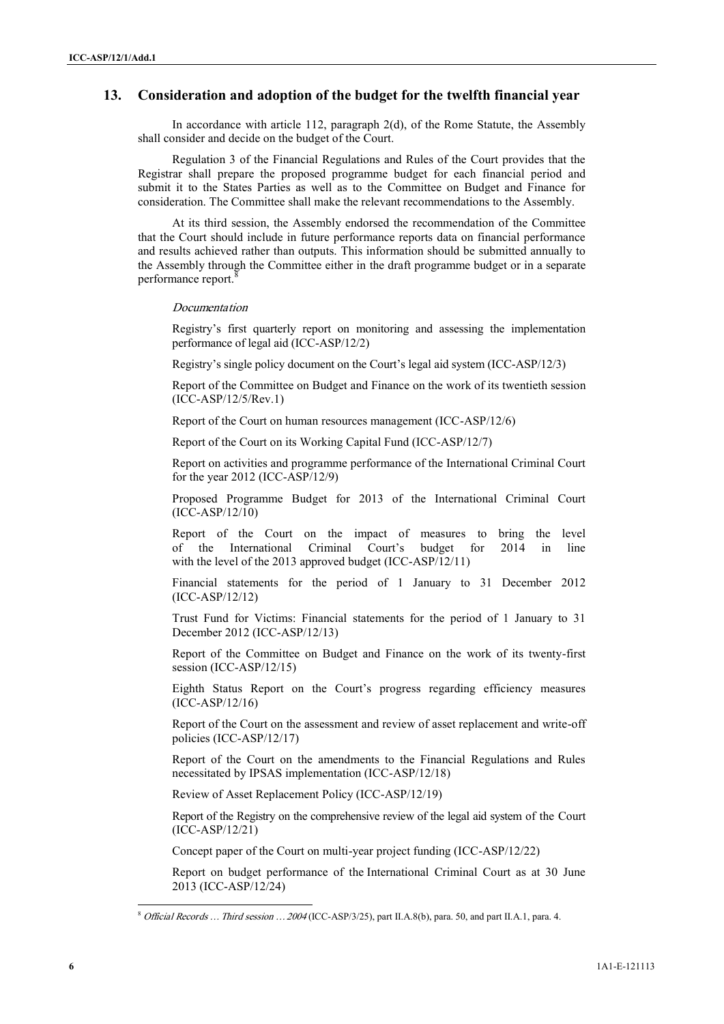### **13. Consideration and adoption of the budget for the twelfth financial year**

In accordance with article 112, paragraph 2(d), of the Rome Statute, the Assembly shall consider and decide on the budget of the Court.

Regulation 3 of the Financial Regulations and Rules of the Court provides that the Registrar shall prepare the proposed programme budget for each financial period and submit it to the States Parties as well as to the Committee on Budget and Finance for consideration. The Committee shall make the relevant recommendations to the Assembly.

La succession of the U.S. The Rosen State Research is the Rosen State Research of the U.S. The Rosen State Research is the U.S. The Rosen State Research in All the U.S. The Control is the U.S. The U.S. The U.S. The U.S. T At its third session, the Assembly endorsed the recommendation of the Committee that the Court should include in future performance reports data on financial performance and results achieved rather than outputs. This information should be submitted annually to the Assembly through the Committee either in the draft programme budget or in a separate performance report.

#### *Documentation*

Registry's first quarterly report on monitoring and assessing the implementation performance of legal aid (ICC-ASP/12/2)

Registry's single policy document on the Court's legal aid system (ICC-ASP/12/3)

Report of the Committee on Budget and Finance on the work of its twentieth session (ICC-ASP/12/5/Rev.1)

Report of the Court on human resources management (ICC-ASP/12/6)

Report of the Court on its Working Capital Fund (ICC-ASP/12/7)

Report on activities and programme performance of the International Criminal Court for the year 2012 (ICC-ASP/12/9)

Proposed Programme Budget for 2013 of the International Criminal Court (ICC-ASP/12/10)

Report of the Court on the impact of measures to bring the level of the International Criminal Court's budget for 2014 in line with the level of the 2013 approved budget (ICC-ASP/12/11)

Financial statements for the period of 1 January to 31 December 2012 (ICC-ASP/12/12)

Trust Fund for Victims: Financial statements for the period of 1 January to 31 December 2012 (ICC-ASP/12/13)

Report of the Committee on Budget and Finance on the work of its twenty-first session (ICC-ASP/12/15)

Eighth Status Report on the Court's progress regarding efficiency measures (ICC-ASP/12/16)

Report of the Court on the assessment and review of asset replacement and write-off policies (ICC-ASP/12/17)

Report of the Court on the amendments to the Financial Regulations and Rules necessitated by IPSAS implementation (ICC-ASP/12/18)

Review of Asset Replacement Policy (ICC-ASP/12/19)

Report of the Registry on the comprehensive review of the legal aid system of the Court (ICC-ASP/12/21)

Concept paper of the Court on multi-year project funding (ICC-ASP/12/22)

Report on budget performance of the International Criminal Court as at 30 June 2013 (ICC-ASP/12/24)

<sup>8</sup> *Official Records … Third session … 2004* (ICC-ASP/3/25), part II.A.8(b), para. 50, and part II.A.1, para. 4.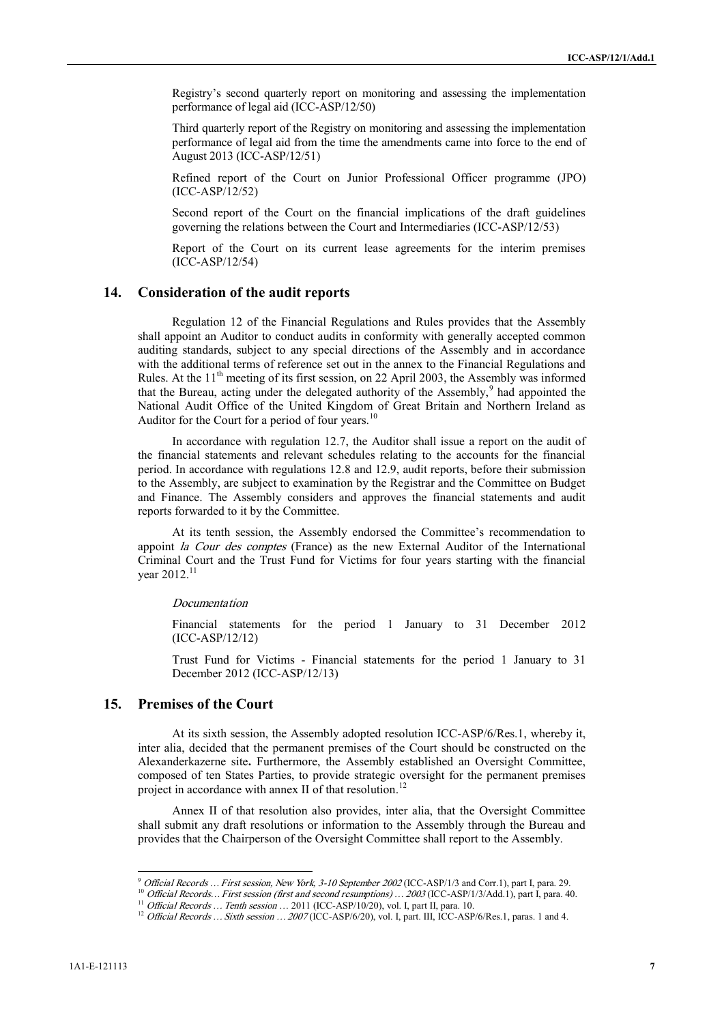Registry's second quarterly report on monitoring and assessing the implementation performance of legal aid (ICC-ASP/12/50)

Third quarterly report of the Registry on monitoring and assessing the implementation performance of legal aid from the time the amendments came into force to the end of August 2013 (ICC-ASP/12/51)

Refined report of the Court on Junior Professional Officer programme (JPO) (ICC-ASP/12/52)

Second report of the Court on the financial implications of the draft guidelines governing the relations between the Court and Intermediaries (ICC-ASP/12/53)

Report of the Court on its current lease agreements for the interim premises (ICC-ASP/12/54)

### **14. Consideration of the audit reports**

**Proximited to the continuum of the main of the system of the system of the system of the system of the continuum of the system of the continuum of the system of the continuum of the system of the continuum of the continu** Regulation 12 of the Financial Regulations and Rules provides that the Assembly shall appoint an Auditor to conduct audits in conformity with generally accepted common auditing standards, subject to any special directions of the Assembly and in accordance with the additional terms of reference set out in the annex to the Financial Regulations and Rules. At the 11<sup>th</sup> meeting of its first session, on 22 April 2003, the Assembly was informed that the Bureau, acting under the delegated authority of the Assembly,<sup>9</sup> had appointed the National Audit Office of the United Kingdom of Great Britain and Northern Ireland as Auditor for the Court for a period of four years.<sup>10</sup>

In accordance with regulation 12.7, the Auditor shall issue a report on the audit of the financial statements and relevant schedules relating to the accounts for the financial period. In accordance with regulations 12.8 and 12.9, audit reports, before their submission to the Assembly, are subject to examination by the Registrar and the Committee on Budget and Finance. The Assembly considers and approves the financial statements and audit reports forwarded to it by the Committee.

At its tenth session, the Assembly endorsed the Committee's recommendation to appoint *la Cour des comptes* (France) as the new External Auditor of the International Criminal Court and the Trust Fund for Victims for four years starting with the financial vear  $2012<sup>1</sup>$ 

#### *Documentation*

Financial statements for the period 1 January to 31 December 2012 (ICC-ASP/12/12)

Trust Fund for Victims - Financial statements for the period 1 January to 31 December 2012 (ICC-ASP/12/13)

### **15. Premises of the Court**

At its sixth session, the Assembly adopted resolution ICC-ASP/6/Res.1, whereby it, inter alia, decided that the permanent premises of the Court should be constructed on the Alexanderkazerne site**.** Furthermore, the Assembly established an Oversight Committee, composed of ten States Parties, to provide strategic oversight for the permanent premises project in accordance with annex II of that resolution.<sup>12</sup>

Annex II of that resolution also provides, inter alia, that the Oversight Committee shall submit any draft resolutions or information to the Assembly through the Bureau and provides that the Chairperson of the Oversight Committee shall report to the Assembly.

<sup>&</sup>lt;sup>9</sup> Official Records ... First session, New York, 3-10 September 2002 (ICC-ASP/1/3 and Corr.1), part I, para. 29.

<sup>&</sup>lt;sup>10</sup> Official Records... First session (first and second resumptions)... 2003 (ICC-ASP/1/3/Add.1), part I, para. 40.

<sup>11</sup> *Official Records … Tenth session* … 2011 (ICC-ASP/10/20), vol. I, part II, para. 10.

<sup>&</sup>lt;sup>12</sup> *Official Records ... Sixth session ... 2007* (ICC-ASP/6/20), vol. I, part. III, ICC-ASP/6/Res.1, paras. 1 and 4.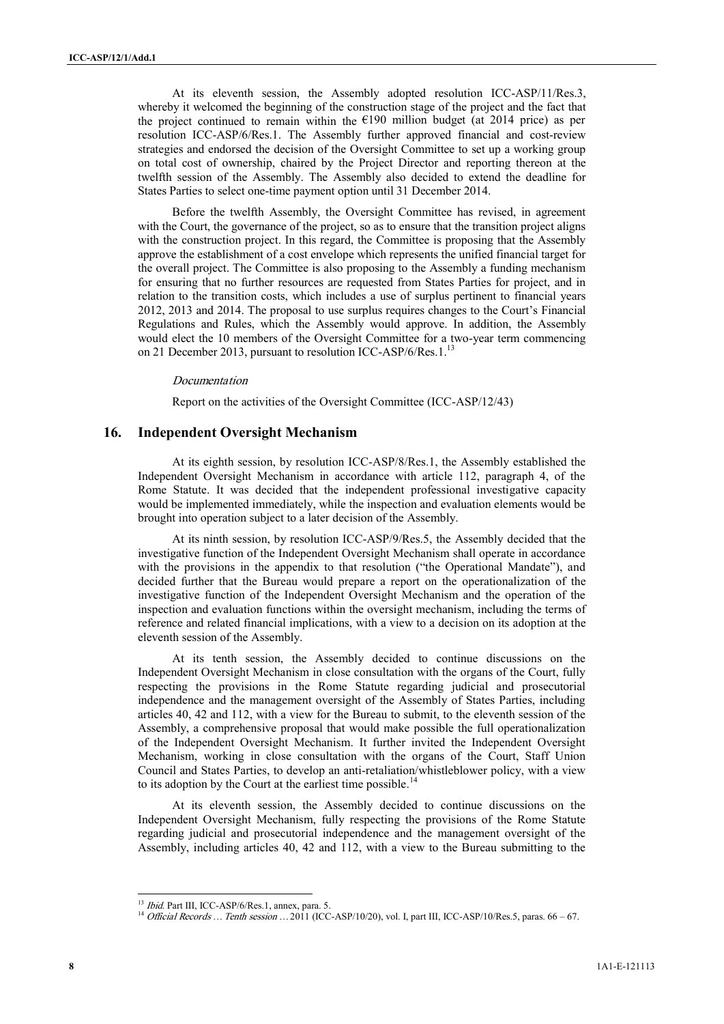At its eleventh session, the Assembly adopted resolution ICC-ASP/11/Res.3, whereby it welcomed the beginning of the construction stage of the project and the fact that the project continued to remain within the  $E190$  million budget (at 2014 price) as per resolution ICC-ASP/6/Res.1. The Assembly further approved financial and cost-review strategies and endorsed the decision of the Oversight Committee to set up a working group on total cost of ownership, chaired by the Project Director and reporting thereon at the twelfth session of the Assembly. The Assembly also decided to extend the deadline for States Parties to select one-time payment option until 31 December 2014.

New roote discussions of the state of the state of the state of the state of the state of the state of the state of the state of the state of the state of the state of the state of the state of the state of the state of Before the twelfth Assembly, the Oversight Committee has revised, in agreement with the Court, the governance of the project, so as to ensure that the transition project aligns with the construction project. In this regard, the Committee is proposing that the Assembly approve the establishment of a cost envelope which represents the unified financial target for the overall project. The Committee is also proposing to the Assembly a funding mechanism for ensuring that no further resources are requested from States Parties for project, and in relation to the transition costs, which includes a use of surplus pertinent to financial years 2012, 2013 and 2014. The proposal to use surplus requires changes to the Court's Financial Regulations and Rules, which the Assembly would approve. In addition, the Assembly would elect the 10 members of the Oversight Committee for a two-year term commencing on 21 December 2013, pursuant to resolution ICC-ASP/6/Res.1.<sup>13</sup>

#### *Documentation*

Report on the activities of the Oversight Committee (ICC-ASP/12/43)

#### **16. Independent Oversight Mechanism**

At its eighth session, by resolution ICC-ASP/8/Res.1, the Assembly established the Independent Oversight Mechanism in accordance with article 112, paragraph 4, of the Rome Statute. It was decided that the independent professional investigative capacity would be implemented immediately, while the inspection and evaluation elements would be brought into operation subject to a later decision of the Assembly.

At its ninth session, by resolution ICC-ASP/9/Res.5, the Assembly decided that the investigative function of the Independent Oversight Mechanism shall operate in accordance with the provisions in the appendix to that resolution ("the Operational Mandate"), and decided further that the Bureau would prepare a report on the operationalization of the investigative function of the Independent Oversight Mechanism and the operation of the inspection and evaluation functions within the oversight mechanism, including the terms of reference and related financial implications, with a view to a decision on its adoption at the eleventh session of the Assembly.

At its tenth session, the Assembly decided to continue discussions on the Independent Oversight Mechanism in close consultation with the organs of the Court, fully respecting the provisions in the Rome Statute regarding judicial and prosecutorial independence and the management oversight of the Assembly of States Parties, including articles 40, 42 and 112, with a view for the Bureau to submit, to the eleventh session of the Assembly, a comprehensive proposal that would make possible the full operationalization of the Independent Oversight Mechanism. It further invited the Independent Oversight Mechanism, working in close consultation with the organs of the Court, Staff Union Council and States Parties, to develop an anti-retaliation/whistleblower policy, with a view to its adoption by the Court at the earliest time possible.<sup>14</sup>

At its eleventh session, the Assembly decided to continue discussions on the Independent Oversight Mechanism, fully respecting the provisions of the Rome Statute regarding judicial and prosecutorial independence and the management oversight of the Assembly, including articles 40, 42 and 112, with a view to the Bureau submitting to the

<sup>13</sup> *Ibid*. Part III, ICC-ASP/6/Res.1, annex, para. 5.

<sup>14</sup> *Official Records … Tenth session …*2011 (ICC-ASP/10/20), vol. I, part III, ICC-ASP/10/Res.5, paras. 66 – 67.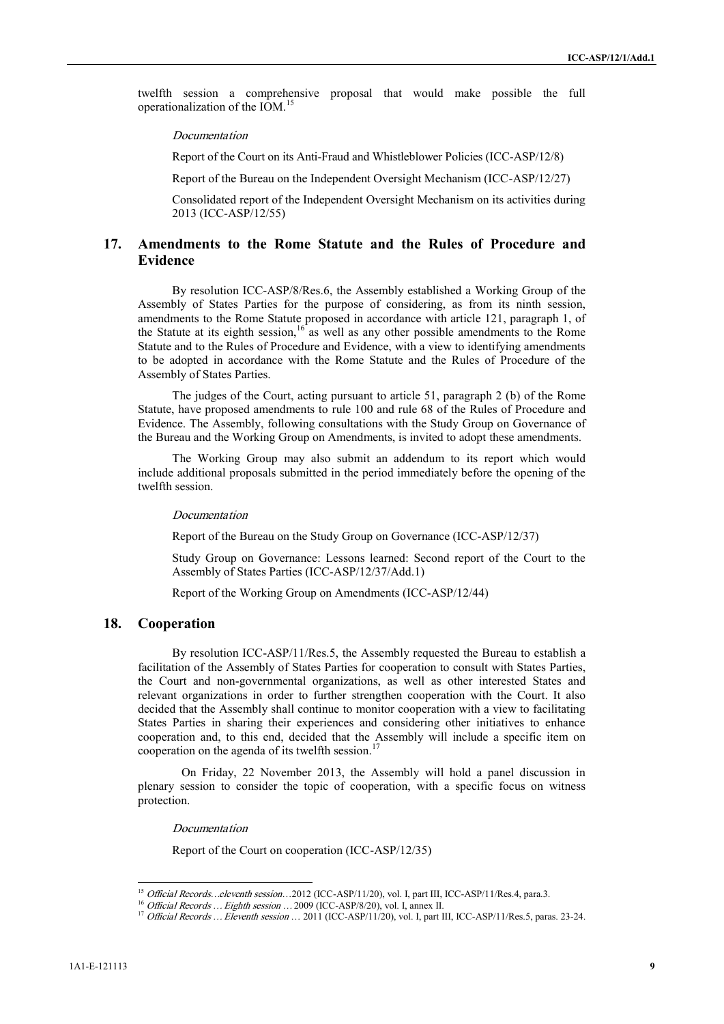twelfth session a comprehensive proposal that would make possible the full operationalization of the IOM.<sup>15</sup>

*Documentation*

Report of the Court on its Anti-Fraud and Whistleblower Policies (ICC-ASP/12/8)

Report of the Bureau on the Independent Oversight Mechanism (ICC-ASP/12/27)

Consolidated report of the Independent Oversight Mechanism on its activities during 2013 (ICC-ASP/12/55)

# **17. Amendments to the Rome Statute and the Rules of Procedure and Evidence**

By resolution ICC-ASP/8/Res.6, the Assembly established a Working Group of the Assembly of States Parties for the purpose of considering, as from its ninth session, amendments to the Rome Statute proposed in accordance with article 121, paragraph 1, of the Statute at its eighth session,  $16$  as well as any other possible amendments to the Rome Statute and to the Rules of Procedure and Evidence, with a view to identifying amendments to be adopted in accordance with the Rome Statute and the Rules of Procedure of the Assembly of States Parties.

The judges of the Court, acting pursuant to article 51, paragraph 2 (b) of the Rome Statute, have proposed amendments to rule 100 and rule 68 of the Rules of Procedure and Evidence. The Assembly, following consultations with the Study Group on Governance of the Bureau and the Working Group on Amendments, is invited to adopt these amendments.

The Working Group may also submit an addendum to its report which would include additional proposals submitted in the period immediately before the opening of the twelfth session.

#### *Documentation*

Report of the Bureau on the Study Group on Governance (ICC-ASP/12/37)

Study Group on Governance: Lessons learned: Second report of the Court to the Assembly of States Parties (ICC-ASP/12/37/Add.1)

Report of the Working Group on Amendments (ICC-ASP/12/44)

### **18. Cooperation**

**EXERCISE CONFIRMATION** (CASP) (2013) **B** *Convertion* (CASP) (CASP)  $\chi$  **B** *Convertion* (CC-ASP) (22) **Expanding the Convertion (CC-ASP)**  $\chi$  **EXERCISE CONFIRMATION** (CC-ASP) (22) **Convertion (CC-ASP)**  $\chi$  **Convertio** By resolution ICC-ASP/11/Res.5, the Assembly requested the Bureau to establish a facilitation of the Assembly of States Parties for cooperation to consult with States Parties, the Court and non-governmental organizations, as well as other interested States and relevant organizations in order to further strengthen cooperation with the Court. It also decided that the Assembly shall continue to monitor cooperation with a view to facilitating States Parties in sharing their experiences and considering other initiatives to enhance cooperation and, to this end, decided that the Assembly will include a specific item on cooperation on the agenda of its twelfth session.<sup>17</sup>

On Friday, 22 November 2013, the Assembly will hold a panel discussion in plenary session to consider the topic of cooperation, with a specific focus on witness protection.

*Documentation*

Report of the Court on cooperation (ICC-ASP/12/35)

<sup>&</sup>lt;sup>15</sup> Official Records...eleventh session...2012 (ICC-ASP/11/20), vol. I, part III, ICC-ASP/11/Res.4, para.3.

<sup>16</sup> *Official Records … Eighth session …*2009 (ICC-ASP/8/20), vol. I, annex II.

<sup>17</sup> *Official Records … Eleventh session* … 2011 (ICC-ASP/11/20), vol. I, part III, ICC-ASP/11/Res.5, paras. 23-24.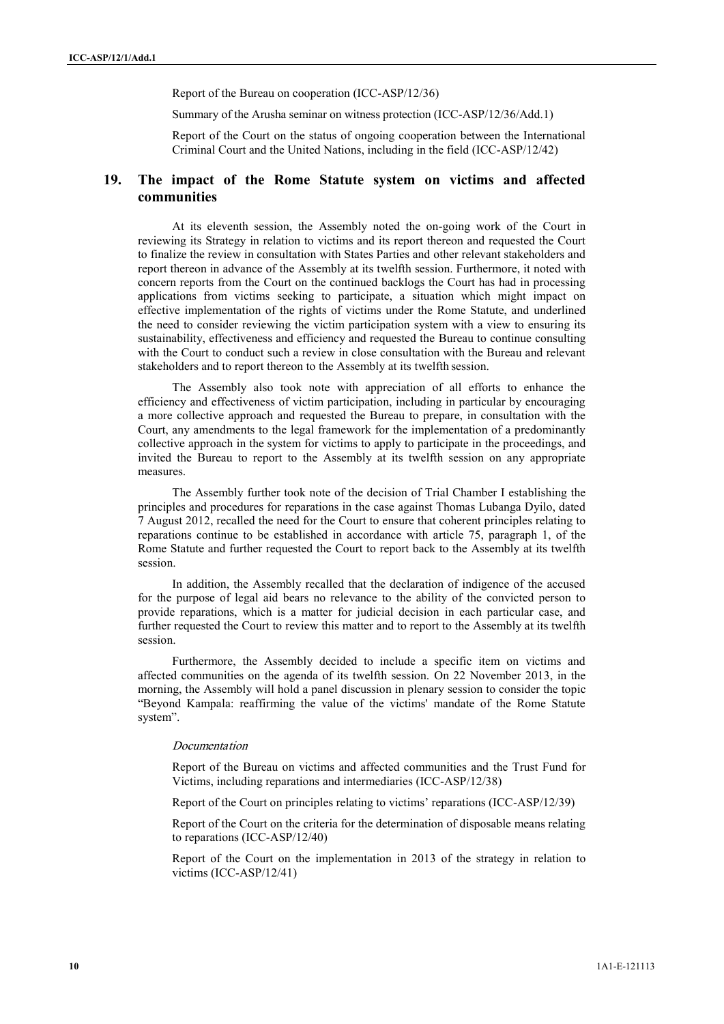Report of the Bureau on cooperation (ICC-ASP/12/36)

Summary of the Arusha seminar on witness protection (ICC-ASP/12/36/Add.1)

Report of the Court on the status of ongoing cooperation between the International Criminal Court and the United Nations, including in the field (ICC-ASP/12/42)

# **19. The impact of the Rome Statute system on victims and affected communities**

Sammer of the Court and the temperature of the procedure of CASP/22-00431). Equivariant the temperature of the Court and the Court and the Court and the Court and the Court and the Court and the Court and the Court and th At its eleventh session, the Assembly noted the on-going work of the Court in reviewing its Strategy in relation to victims and its report thereon and requested the Court to finalize the review in consultation with States Parties and other relevant stakeholders and report thereon in advance of the Assembly at its twelfth session. Furthermore, it noted with concern reports from the Court on the continued backlogs the Court has had in processing applications from victims seeking to participate, a situation which might impact on effective implementation of the rights of victims under the Rome Statute, and underlined the need to consider reviewing the victim participation system with a view to ensuring its sustainability, effectiveness and efficiency and requested the Bureau to continue consulting with the Court to conduct such a review in close consultation with the Bureau and relevant stakeholders and to report thereon to the Assembly at its twelfth session.

The Assembly also took note with appreciation of all efforts to enhance the efficiency and effectiveness of victim participation, including in particular by encouraging a more collective approach and requested the Bureau to prepare, in consultation with the Court, any amendments to the legal framework for the implementation of a predominantly collective approach in the system for victims to apply to participate in the proceedings, and invited the Bureau to report to the Assembly at its twelfth session on any appropriate measures.

The Assembly further took note of the decision of Trial Chamber I establishing the principles and procedures for reparations in the case against Thomas Lubanga Dyilo, dated 7 August 2012, recalled the need for the Court to ensure that coherent principles relating to reparations continue to be established in accordance with article 75, paragraph 1, of the Rome Statute and further requested the Court to report back to the Assembly at its twelfth session.<br>In addition, the Assembly recalled that the declaration of indigence of the accused

for the purpose of legal aid bears no relevance to the ability of the convicted person to provide reparations, which is a matter for judicial decision in each particular case, and further requested the Court to review this matter and to report to the Assembly at its twelfth session.

Furthermore, the Assembly decided to include a specific item on victims and affected communities on the agenda of its twelfth session. On 22 November 2013, in the morning, the Assembly will hold a panel discussion in plenary session to consider the topic "Beyond Kampala: reaffirming the value of the victims' mandate of the Rome Statute system".

#### *Documentation*

Report of the Bureau on victims and affected communities and the Trust Fund for Victims, including reparations and intermediaries (ICC-ASP/12/38)

Report of the Court on principles relating to victims' reparations (ICC-ASP/12/39)

Report of the Court on the criteria for the determination of disposable means relating to reparations (ICC-ASP/12/40)

Report of the Court on the implementation in 2013 of the strategy in relation to victims (ICC-ASP/12/41)